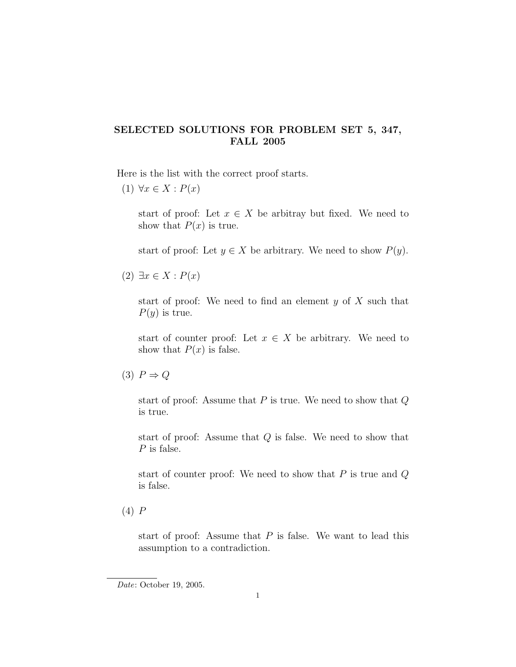## SELECTED SOLUTIONS FOR PROBLEM SET 5, 347, FALL 2005

Here is the list with the correct proof starts.

 $(1) \forall x \in X : P(x)$ 

start of proof: Let  $x \in X$  be arbitray but fixed. We need to show that  $P(x)$  is true.

start of proof: Let  $y \in X$  be arbitrary. We need to show  $P(y)$ .

 $(2) \exists x \in X : P(x)$ 

start of proof: We need to find an element  $y$  of  $X$  such that  $P(y)$  is true.

start of counter proof: Let  $x \in X$  be arbitrary. We need to show that  $P(x)$  is false.

start of proof: Assume that  $P$  is true. We need to show that  $Q$ is true.

start of proof: Assume that Q is false. We need to show that P is false.

start of counter proof: We need to show that  $P$  is true and  $Q$ is false.

(4) P

start of proof: Assume that  $P$  is false. We want to lead this assumption to a contradiction.

<sup>(3)</sup>  $P \Rightarrow Q$ 

Date: October 19, 2005.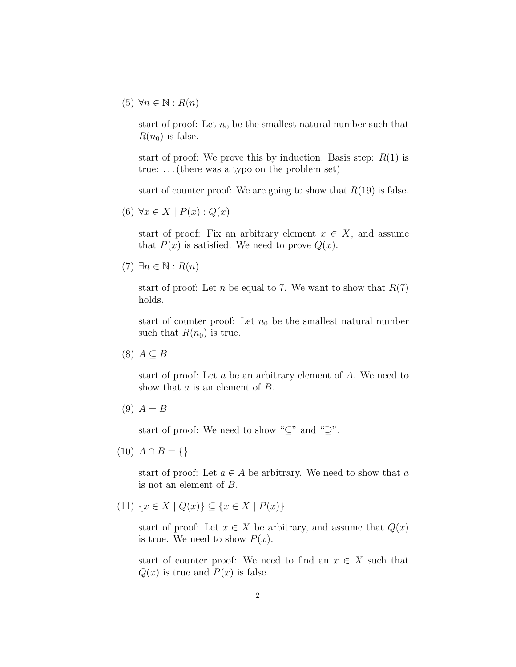$(5)$   $\forall n \in \mathbb{N} : R(n)$ 

start of proof: Let  $n_0$  be the smallest natural number such that  $R(n_0)$  is false.

start of proof: We prove this by induction. Basis step:  $R(1)$  is true: . . . (there was a typo on the problem set)

start of counter proof: We are going to show that  $R(19)$  is false.

(6)  $\forall x \in X \mid P(x): Q(x)$ 

start of proof: Fix an arbitrary element  $x \in X$ , and assume that  $P(x)$  is satisfied. We need to prove  $Q(x)$ .

```
(7) \exists n \in \mathbb{N} : R(n)
```
start of proof: Let n be equal to 7. We want to show that  $R(7)$ holds.

start of counter proof: Let  $n_0$  be the smallest natural number such that  $R(n_0)$  is true.

 $(8)$   $A \subseteq B$ 

start of proof: Let a be an arbitrary element of A. We need to show that a is an element of B.

 $(9) A = B$ 

start of proof: We need to show " $\subseteq$ " and " $\supseteq$ ".

 $(10)$   $A \cap B = \{\}\$ 

start of proof: Let  $a \in A$  be arbitrary. We need to show that a is not an element of B.

(11)  $\{x \in X \mid Q(x)\} \subset \{x \in X \mid P(x)\}\$ 

start of proof: Let  $x \in X$  be arbitrary, and assume that  $Q(x)$ is true. We need to show  $P(x)$ .

start of counter proof: We need to find an  $x \in X$  such that  $Q(x)$  is true and  $P(x)$  is false.